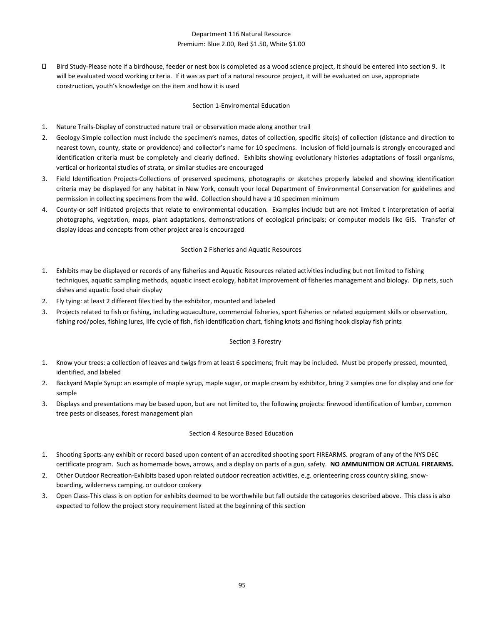# Department 116 Natural Resource Premium: Blue 2.00, Red \$1.50, White \$1.00

Π. Bird Study-Please note if a birdhouse, feeder or nest box is completed as a wood science project, it should be entered into section 9. It will be evaluated wood working criteria. If it was as part of a natural resource project, it will be evaluated on use, appropriate construction, youth's knowledge on the item and how it is used

### Section 1-Enviromental Education

- 1. Nature Trails-Display of constructed nature trail or observation made along another trail
- 2. Geology-Simple collection must include the specimen's names, dates of collection, specific site(s) of collection (distance and direction to nearest town, county, state or providence) and collector's name for 10 specimens. Inclusion of field journals is strongly encouraged and identification criteria must be completely and clearly defined. Exhibits showing evolutionary histories adaptations of fossil organisms, vertical or horizontal studies of strata, or similar studies are encouraged
- 3. Field Identification Projects-Collections of preserved specimens, photographs or sketches properly labeled and showing identification criteria may be displayed for any habitat in New York, consult your local Department of Environmental Conservation for guidelines and permission in collecting specimens from the wild. Collection should have a 10 specimen minimum
- 4. County-or self initiated projects that relate to environmental education. Examples include but are not limited t interpretation of aerial photographs, vegetation, maps, plant adaptations, demonstrations of ecological principals; or computer models like GIS. Transfer of display ideas and concepts from other project area is encouraged

## Section 2 Fisheries and Aquatic Resources

- 1. Exhibits may be displayed or records of any fisheries and Aquatic Resources related activities including but not limited to fishing techniques, aquatic sampling methods, aquatic insect ecology, habitat improvement of fisheries management and biology. Dip nets, such dishes and aquatic food chair display
- 2. Fly tying: at least 2 different files tied by the exhibitor, mounted and labeled
- 3. Projects related to fish or fishing, including aquaculture, commercial fisheries, sport fisheries or related equipment skills or observation, fishing rod/poles, fishing lures, life cycle of fish, fish identification chart, fishing knots and fishing hook display fish prints

#### Section 3 Forestry

- 1. Know your trees: a collection of leaves and twigs from at least 6 specimens; fruit may be included. Must be properly pressed, mounted, identified, and labeled
- 2. Backyard Maple Syrup: an example of maple syrup, maple sugar, or maple cream by exhibitor, bring 2 samples one for display and one for sample
- 3. Displays and presentations may be based upon, but are not limited to, the following projects: firewood identification of lumbar, common tree pests or diseases, forest management plan

#### Section 4 Resource Based Education

- 1. Shooting Sports-any exhibit or record based upon content of an accredited shooting sport FIREARMS. program of any of the NYS DEC certificate program. Such as homemade bows, arrows, and a display on parts of a gun, safety. **NO AMMUNITION OR ACTUAL FIREARMS.**
- 2. Other Outdoor Recreation-Exhibits based upon related outdoor recreation activities, e.g. orienteering cross country skiing, snowboarding, wilderness camping, or outdoor cookery
- 3. Open Class-This class is on option for exhibits deemed to be worthwhile but fall outside the categories described above. This class is also expected to follow the project story requirement listed at the beginning of this section